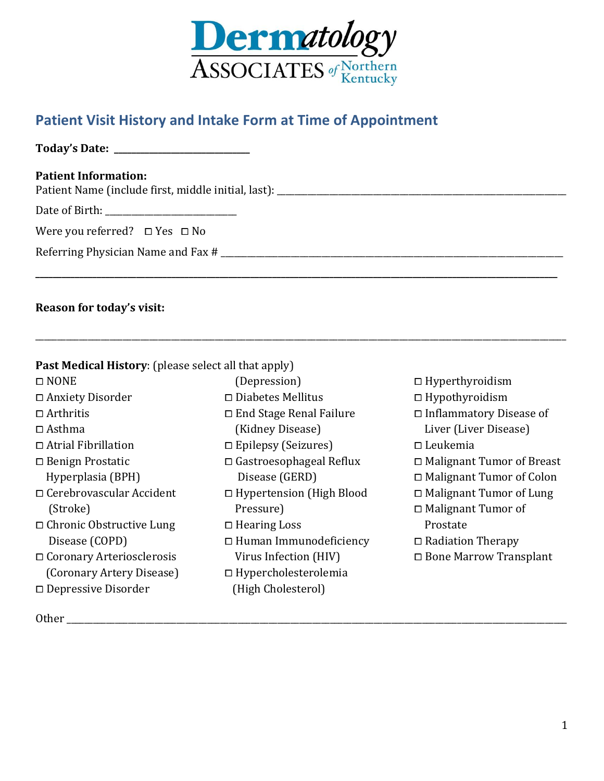

# **Patient Visit History and Intake Form at Time of Appointment**

**Today's Date: \_\_\_\_\_\_\_\_\_\_\_\_\_\_\_\_\_\_\_\_\_\_\_\_\_\_\_\_\_\_\_**

#### **Patient Information:**

Patient Name (include first, middle initial, last): \_\_\_\_\_\_\_\_\_\_\_\_\_\_\_\_\_\_\_\_\_\_\_\_\_\_\_\_\_\_\_\_\_\_\_\_\_\_\_\_\_\_\_\_\_\_\_\_\_\_\_\_\_\_\_\_\_\_\_\_\_\_\_\_\_\_

Date of Birth: \_\_\_\_\_\_\_\_\_\_\_\_\_\_\_\_\_\_\_\_\_\_\_\_\_\_\_\_\_\_

Were you referred?  $\square$  Yes  $\square$  No

Referring Physician Name and Fax # \_\_\_\_\_\_\_\_\_\_\_\_\_\_\_\_\_\_\_\_\_\_\_\_\_\_\_\_\_\_\_\_\_\_\_\_\_\_\_\_\_\_\_\_\_\_\_\_\_\_\_\_\_\_\_\_\_\_\_\_\_\_\_\_\_\_\_\_\_\_\_\_\_\_\_\_\_\_

### **Reason for today's visit:**

### **Past Medical History**: (please select all that apply)

⧠ NONE ⧠ Anxiety Disorder  $\Box$  Arthritis  $\Box$  Asthma □ Atrial Fibrillation ⧠ Benign Prostatic Hyperplasia (BPH) ⧠ Cerebrovascular Accident (Stroke) □ Chronic Obstructive Lung Disease (COPD) ⧠ Coronary Arteriosclerosis (Coronary Artery Disease) ⧠ Depressive Disorder

⧠ Diabetes Mellitus ⧠ End Stage Renal Failure (Kidney Disease)

**\_\_\_\_\_\_\_\_\_\_\_\_\_\_\_\_\_\_\_\_\_\_\_\_\_\_\_\_\_\_\_\_\_\_\_\_\_\_\_\_\_\_\_\_\_\_\_\_\_\_\_\_\_\_\_\_\_\_\_\_\_\_\_\_\_\_\_\_\_\_\_\_\_\_\_\_\_\_\_\_\_\_\_\_\_\_\_\_\_\_\_\_\_\_\_\_\_\_\_\_\_\_\_\_\_\_\_\_\_\_\_\_\_\_\_\_\_\_\_**

\_\_\_\_\_\_\_\_\_\_\_\_\_\_\_\_\_\_\_\_\_\_\_\_\_\_\_\_\_\_\_\_\_\_\_\_\_\_\_\_\_\_\_\_\_\_\_\_\_\_\_\_\_\_\_\_\_\_\_\_\_\_\_\_\_\_\_\_\_\_\_\_\_\_\_\_\_\_\_\_\_\_\_\_\_\_\_\_\_\_\_\_\_\_\_\_\_\_\_\_\_\_\_\_\_\_\_\_\_\_\_\_\_\_\_\_\_\_\_\_\_

⧠ Epilepsy (Seizures)

(Depression)

- ⧠ Gastroesophageal Reflux Disease (GERD)
- □ Hypertension (High Blood Pressure)
- ⧠ Hearing Loss
- ⧠ Human Immunodeficiency Virus Infection (HIV)
- ⧠ Hypercholesterolemia (High Cholesterol)
- ⧠ Hyperthyroidism
- ⧠ Hypothyroidism
- □ Inflammatory Disease of Liver (Liver Disease)
- ⧠ Leukemia
- ⧠ Malignant Tumor of Breast
- ⧠ Malignant Tumor of Colon
- □ Malignant Tumor of Lung
- ⧠ Malignant Tumor of Prostate
- ⧠ Radiation Therapy
- ⧠ Bone Marrow Transplant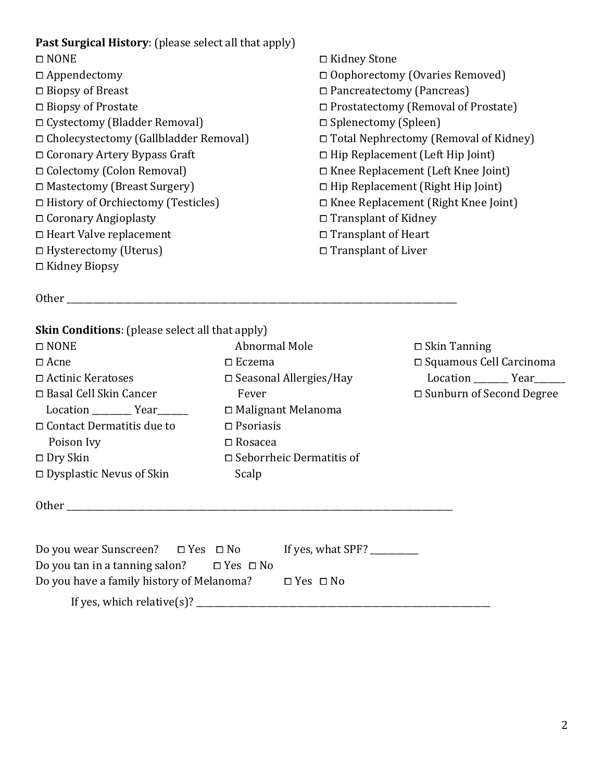## **Past Surgical History**: (please select all that apply)

- ⧠ NONE ⧠ Appendectomy ⧠ Biopsy of Breast ⧠ Biopsy of Prostate ⧠ Cystectomy (Bladder Removal) ⧠ Cholecystectomy (Gallbladder Removal) ⧠ Coronary Artery Bypass Graft ⧠ Colectomy (Colon Removal) ⧠ Mastectomy (Breast Surgery) ⧠ History of Orchiectomy (Testicles) ⧠ Coronary Angioplasty □ Heart Valve replacement □ Hysterectomy (Uterus) ⧠ Kidney Biopsy
- ⧠ Kidney Stone ⧠ Oophorectomy (Ovaries Removed) ⧠ Pancreatectomy (Pancreas) ⧠ Prostatectomy (Removal of Prostate) □ Splenectomy (Spleen) ⧠ Total Nephrectomy (Removal of Kidney) ⧠ Hip Replacement (Left Hip Joint) ⧠ Knee Replacement (Left Knee Joint)  $\Box$  Hip Replacement (Right Hip Joint) ⧠ Knee Replacement (Right Knee Joint) □ Transplant of Kidney □ Transplant of Heart □ Transplant of Liver

Other \_\_\_\_\_\_\_\_\_\_\_\_\_\_\_\_\_\_\_\_\_\_\_\_\_\_\_\_\_\_\_\_\_\_\_\_\_\_\_\_\_\_\_\_\_\_\_\_\_\_\_\_\_\_\_\_\_\_\_\_\_\_\_\_\_\_\_\_\_\_\_\_\_\_\_\_\_\_\_\_\_\_\_\_\_\_\_\_\_

#### **Skin Conditions**: (please select all that apply)

| $\Box$ NONE                      | Abnormal Mole                   |
|----------------------------------|---------------------------------|
| $\Box$ Acne                      | $\square$ Eczema                |
| $\Box$ Actinic Keratoses         | $\Box$ Seasonal Allergies/Hay   |
| □ Basal Cell Skin Cancer         | Fever                           |
| Location Year                    | □ Malignant Melanoma            |
| $\Box$ Contact Dermatitis due to | $\square$ Psoriasis             |
| Poison Ivy                       | $\square$ Rosacea               |
| $\Box$ Dry Skin                  | $\Box$ Seborrheic Dermatitis of |
| $\Box$ Dysplastic Nevus of Skin  | Scalp                           |
|                                  |                                 |

Other \_\_\_\_\_\_\_\_\_\_\_\_\_\_\_\_\_\_\_\_\_\_\_\_\_\_\_\_\_\_\_\_\_\_\_\_\_\_\_\_\_\_\_\_\_\_\_\_\_\_\_\_\_\_\_\_\_\_\_\_\_\_\_\_\_\_\_\_\_\_\_\_\_\_\_\_\_\_\_\_\_\_\_\_\_\_\_\_

⧠ Skin Tanning ⧠ Squamous Cell Carcinoma Location \_\_\_\_\_\_\_\_ Year\_\_\_\_\_\_ □ Sunburn of Second Degree

Do you wear Sunscreen? ⧠ Yes ⧠ No If yes, what SPF? \_\_\_\_\_\_\_\_\_\_\_ Do you tan in a tanning salon?  $\Box$  Yes  $\Box$  No Do you have a family history of Melanoma?  $\Box$  Yes  $\Box$  No If yes, which relative(s)? \_\_\_\_\_\_\_\_\_\_\_\_\_\_\_\_\_\_\_\_\_\_\_\_\_\_\_\_\_\_\_\_\_\_\_\_\_\_\_\_\_\_\_\_\_\_\_\_\_\_\_\_\_\_\_\_\_\_\_\_\_\_\_\_\_\_\_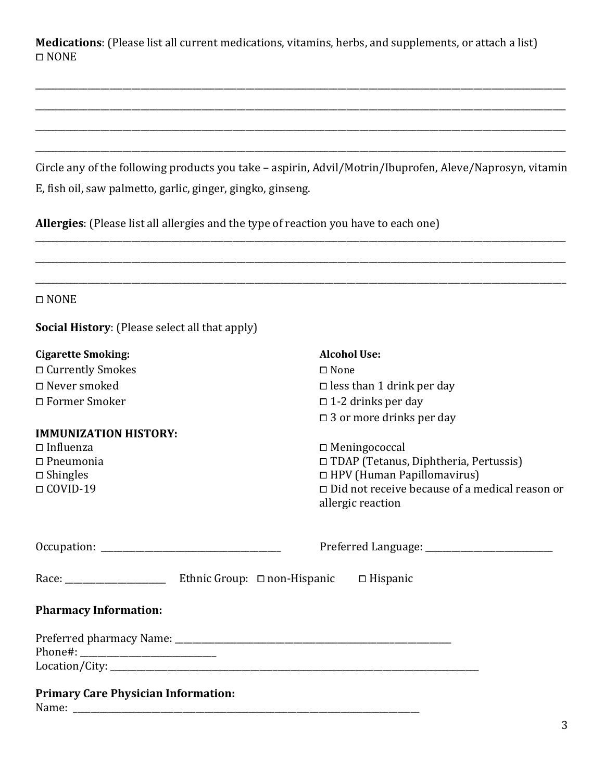**Medications**: (Please list all current medications, vitamins, herbs, and supplements, or attach a list) ⧠ NONE

Circle any of the following products you take – aspirin, Advil/Motrin/Ibuprofen, Aleve/Naprosyn, vitamin E, fish oil, saw palmetto, garlic, ginger, gingko, ginseng.

\_\_\_\_\_\_\_\_\_\_\_\_\_\_\_\_\_\_\_\_\_\_\_\_\_\_\_\_\_\_\_\_\_\_\_\_\_\_\_\_\_\_\_\_\_\_\_\_\_\_\_\_\_\_\_\_\_\_\_\_\_\_\_\_\_\_\_\_\_\_\_\_\_\_\_\_\_\_\_\_\_\_\_\_\_\_\_\_\_\_\_\_\_\_\_\_\_\_\_\_\_\_\_\_\_\_\_\_\_\_\_\_\_\_\_\_\_\_\_\_\_

\_\_\_\_\_\_\_\_\_\_\_\_\_\_\_\_\_\_\_\_\_\_\_\_\_\_\_\_\_\_\_\_\_\_\_\_\_\_\_\_\_\_\_\_\_\_\_\_\_\_\_\_\_\_\_\_\_\_\_\_\_\_\_\_\_\_\_\_\_\_\_\_\_\_\_\_\_\_\_\_\_\_\_\_\_\_\_\_\_\_\_\_\_\_\_\_\_\_\_\_\_\_\_\_\_\_\_\_\_\_\_\_\_\_\_\_\_\_\_\_\_

\_\_\_\_\_\_\_\_\_\_\_\_\_\_\_\_\_\_\_\_\_\_\_\_\_\_\_\_\_\_\_\_\_\_\_\_\_\_\_\_\_\_\_\_\_\_\_\_\_\_\_\_\_\_\_\_\_\_\_\_\_\_\_\_\_\_\_\_\_\_\_\_\_\_\_\_\_\_\_\_\_\_\_\_\_\_\_\_\_\_\_\_\_\_\_\_\_\_\_\_\_\_\_\_\_\_\_\_\_\_\_\_\_\_\_\_\_\_\_\_\_

**Allergies**: (Please list all allergies and the type of reaction you have to each one)

| $\Box$ NONE                                           |                                                                            |
|-------------------------------------------------------|----------------------------------------------------------------------------|
| <b>Social History:</b> (Please select all that apply) |                                                                            |
| <b>Cigarette Smoking:</b>                             | <b>Alcohol Use:</b>                                                        |
| □ Currently Smokes                                    | $\square$ None                                                             |
| □ Never smoked                                        | $\square$ less than 1 drink per day                                        |
| □ Former Smoker                                       | $\Box$ 1-2 drinks per day                                                  |
|                                                       | $\square$ 3 or more drinks per day                                         |
| <b>IMMUNIZATION HISTORY:</b>                          |                                                                            |
| $\square$ Influenza                                   | $\Box$ Meningococcal                                                       |
| $\Box$ Pneumonia                                      | □ TDAP (Tetanus, Diphtheria, Pertussis)                                    |
| $\square$ Shingles                                    | □ HPV (Human Papillomavirus)                                               |
| $\Box$ COVID-19                                       | $\Box$ Did not receive because of a medical reason or<br>allergic reaction |
|                                                       |                                                                            |
|                                                       |                                                                            |
| <b>Pharmacy Information:</b>                          |                                                                            |
|                                                       |                                                                            |
|                                                       |                                                                            |

Name: \_\_\_\_\_\_\_\_\_\_\_\_\_\_\_\_\_\_\_\_\_\_\_\_\_\_\_\_\_\_\_\_\_\_\_\_\_\_\_\_\_\_\_\_\_\_\_\_\_\_\_\_\_\_\_\_\_\_\_\_\_\_\_\_\_\_\_\_\_\_\_\_\_\_\_\_\_\_\_